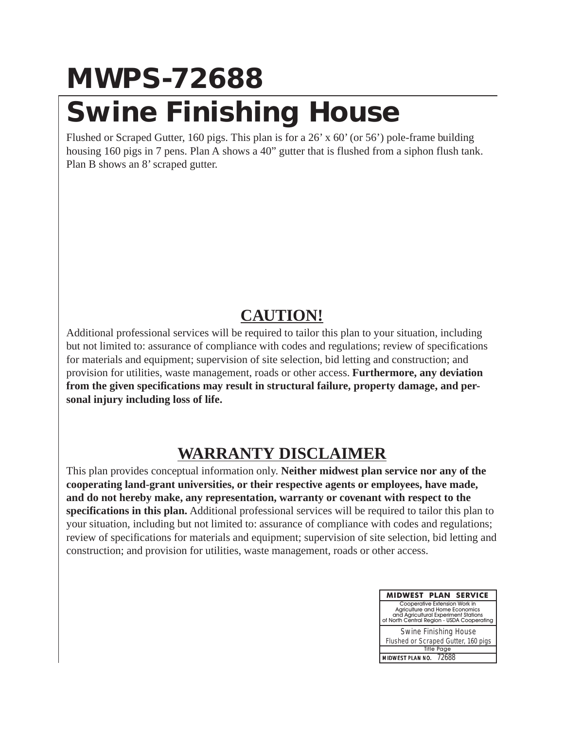## **MWPS-72688 Swine Finishing House**

Flushed or Scraped Gutter, 160 pigs. This plan is for a 26' x 60' (or 56') pole-frame building housing 160 pigs in 7 pens. Plan A shows a 40" gutter that is flushed from a siphon flush tank. Plan B shows an 8' scraped gutter.

#### **CAUTION!**

Additional professional services will be required to tailor this plan to your situation, including but not limited to: assurance of compliance with codes and regulations; review of specifications for materials and equipment; supervision of site selection, bid letting and construction; and provision for utilities, waste management, roads or other access. **Furthermore, any deviation from the given specifications may result in structural failure, property damage, and personal injury including loss of life.**

### **WARRANTY DISCLAIMER**

This plan provides conceptual information only. **Neither midwest plan service nor any of the cooperating land-grant universities, or their respective agents or employees, have made, and do not hereby make, any representation, warranty or covenant with respect to the specifications in this plan.** Additional professional services will be required to tailor this plan to your situation, including but not limited to: assurance of compliance with codes and regulations; review of specifications for materials and equipment; supervision of site selection, bid letting and construction; and provision for utilities, waste management, roads or other access.

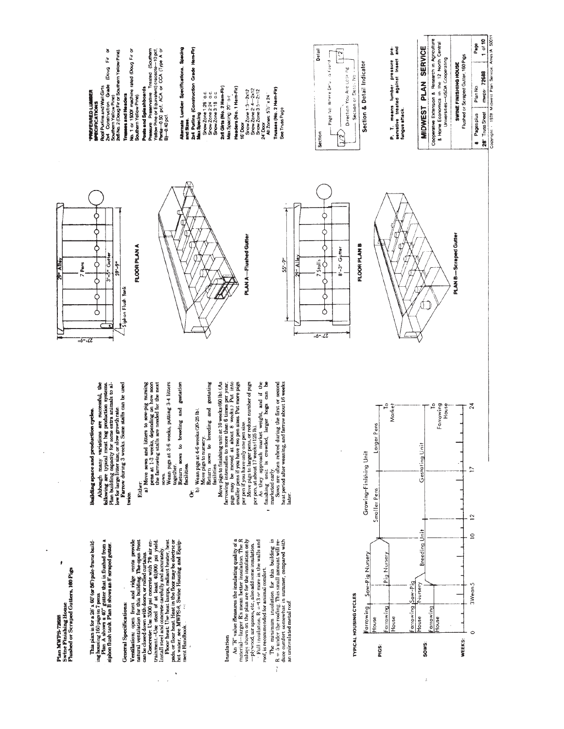Plan MWPS-72688<br>Swine Fhishing House<br>Flushed or Scraped Gutters, 160 Pigs

ł

This plan is for a  $29 \times 60^\circ$  (or  $56^\circ$ ) pole-frame building head is pole of the pole frame building heating  $160^\circ$  pieze.<br>In the building of the pole in Theorem and is flucted from a siphon fluch tank. Plan B shows an

# **General Specifications:**

Vendilation: open front and ridge vents provide<br>antige decidiation with this variable Theorem front<br>concrete: Use 3500 psi concrete with 78 air environment. The steel of at least 40,000 psi yield.<br>trainment. The steel of

j  $\overline{\phantom{a}}$ 

### Insulation

An "R" value measures the insulating quality of a relation of the line of the insulation. The R ratio and the insulation. The R ratio only  $\rightarrow$  properties are an better insulation. The R  $\rightarrow$  pixels only and spaces, etc., - Full insulation,  $R = 4.3$  or more in the walls and roof, is recommended for animal confort.

The minimum insulation for this building is  $R = 5$  under the roofing. This small amount will reduce ionsulated metal ratio summer, compared with the state in summer, compared with  $\frac{1}{2}$ 

Building space and production cycles.

Although many variations are successful, the following are typical meat hog production systems.<br>Plan building expectly for some extra animals to almost production of the some extra animals to almost production of the solu twice.

### Either:

a) Move sows and litters to sow-pig nursing<br>pens at 1-3 weeks, depending on how soon<br>the farrowing stalls are needed for the next

sows.<br>Wean pigs at 3-6 weeks, putting 3-4 litters<br>together. Return sows to breeding and gestation

facilities

Or<br>b) Wean pigs at 4-6 weeks (20-25 lb).

Move pigs to nursery.<br>Return sows to breeding and gestating **facilities** 

Move pagn to finishing unit at 10 weeks (60) h). (As farmwing intensifies to more than 6 times per year, paginer pay be the start of the start of the start of the start of the page per start of the start of the start of t



Roof Purlins and Wall Girls<br>264 Construction Grade (Doug Fir or<br>268 No. 2 (Doug Fir or Southern Yellow Pine).

**PREFERRED LUMBER**<br>IFFECIFICATIONS

No. 1 or 1500f mechine rated (Doug Fir or<br>Southern Yellow Pine).

**Trustes and Headers** 

Posts and Spieshboards

Pressure Preservative Treated (Southern<br>Yellow Pine or Equivalent) creosote-10 pcl,<br>Bh-14 -40 50 pcl, ACA or CCA (Type A or



Alternate Lumber Specifications, Specing<br>and Sizes. but Purlins (Construction Grade Hem-Fir)<br>Max Specing



Show Zone 1:3--2x12<br>Show Zone 2: 4--2x12<br>Show Zone 3:5--2x12<br>24' Door s: 5'/;" x 24"

**I6** Door

Trusses (No. 2 Hem-Fir)<br>See Truss Page

2x6 Girts (No. 2 Hem-Fir)<br>Max Specing: 20" o c Headers (No. 1 Hem Fir)

Show Zone 1:28 o.c.<br>Show Zone 2:24 o.c.<br>Show Zone 3:18 o.c.



Detail

Section

 $\boxed{2}$ 

Direction You Are Looking Section or Detail No

 $\left[\frac{2}{2}\right]$ 

Section & Detail Indicator

Page No. Where Detail is Found -

**FLOOR PLAN B** 



ڡ

Larger Pens

Smaller Pens

Growing-Finishing Unit

Sow-Pig Nursery

TYPICAL HOUSING CYCLES Farrowing , Pig Nursery

arrowing

**louse** 

PIGS:

fouse

Market

 $\overline{c}$ Farrowing House

Gestating Unit

Breeding Unit

arrowing Sow-Pig Vursery

pulvoura touse

SOWS:

ż

ouse

 $\overline{24}$ 

 $\overline{C}$ 

 $\tilde{c}$ 

 $\overline{a}$ 

3Wean5

 $\circ$ 

WEEKS:



Flushed or Scraped Gutter, 160 Pigs

Cooperative Extension & Research in Agriculture<br>8. Home Economics in the 12 North Central

Universities-USDA Cooperating

SWINE FINISHING HOUSE

MIDWEST PLAN SERVICE

P. T. means lumber pressure pre-<br>servative treated against insect and<br>fungus.attack.

Page Plan No. a Pages plus

28' Truss Sheet | mwps-72688 | 1 of 10<br>Copyright - 1978 Midwest Plan Service, Ames IA 50011

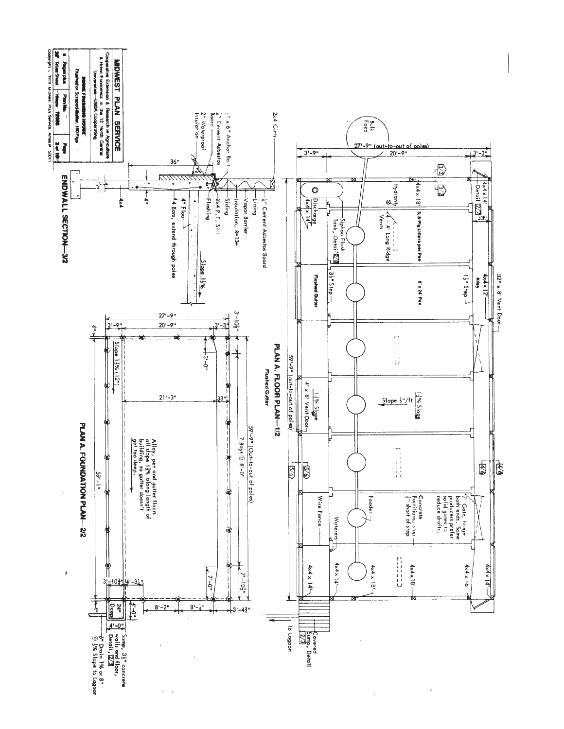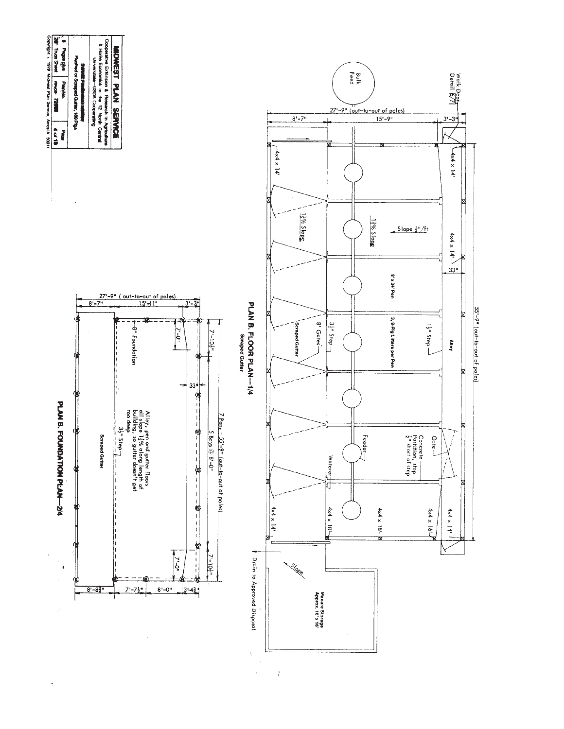

L.

 $\frac{\delta}{2}$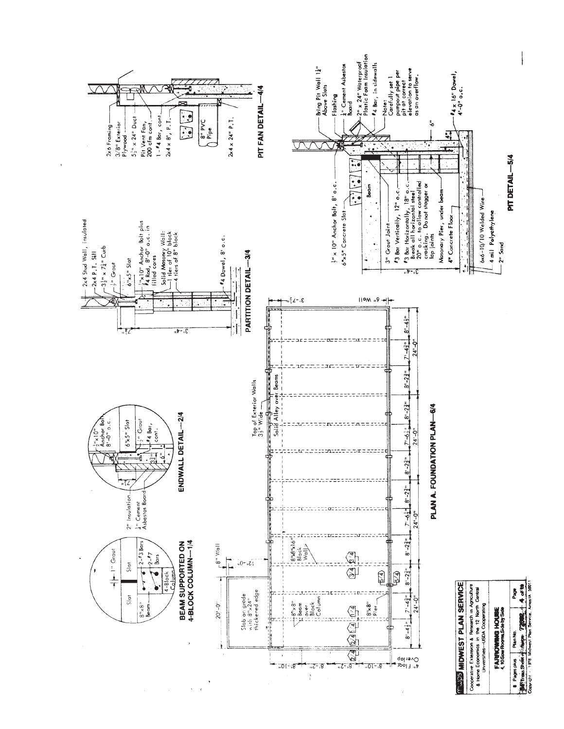

 $\mathcal{L}$  $\hat{\mathbf{v}}$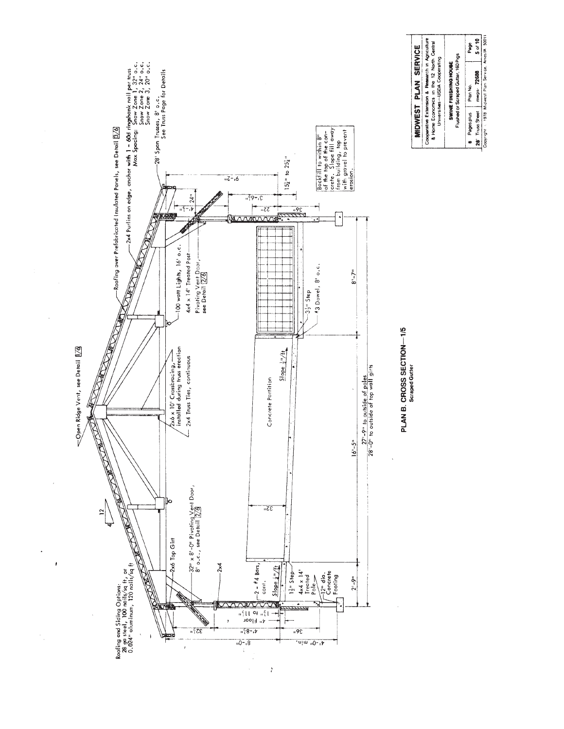

ł

 $\frac{1}{2}$ 

|                                                                                             | MIDWEST PLAN SERVICE                                         |         |
|---------------------------------------------------------------------------------------------|--------------------------------------------------------------|---------|
| Cooperative Extension & Research in Agriculture<br>& Home Economics in the 12 North Central | Universities-USDA Cooperating                                |         |
|                                                                                             | Flushed or Scraped Gutter, 160 Pigs<br>SWINE FINISHING HOUSE |         |
| Pages plus                                                                                  | Plan No.                                                     | Page    |
| 28' Truss Sheet                                                                             | mwps- 72688                                                  | 5 of 10 |

## PLAN B. CROSS SECTION-1/5 Scraped Gutter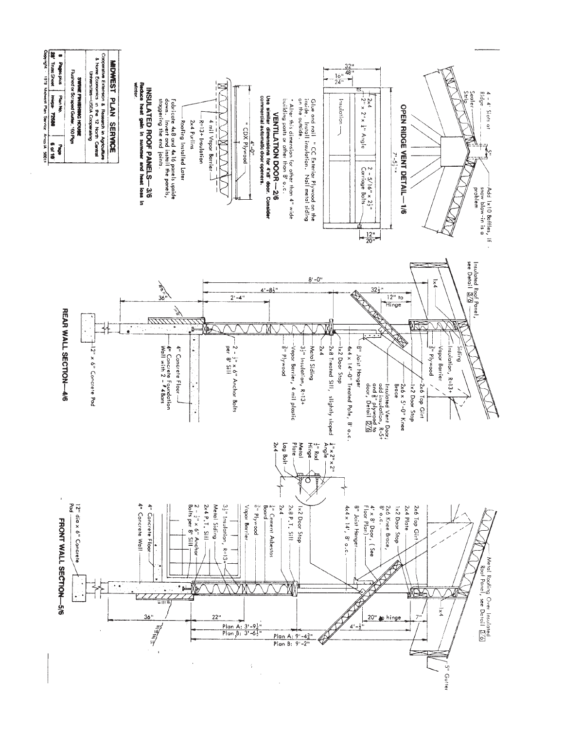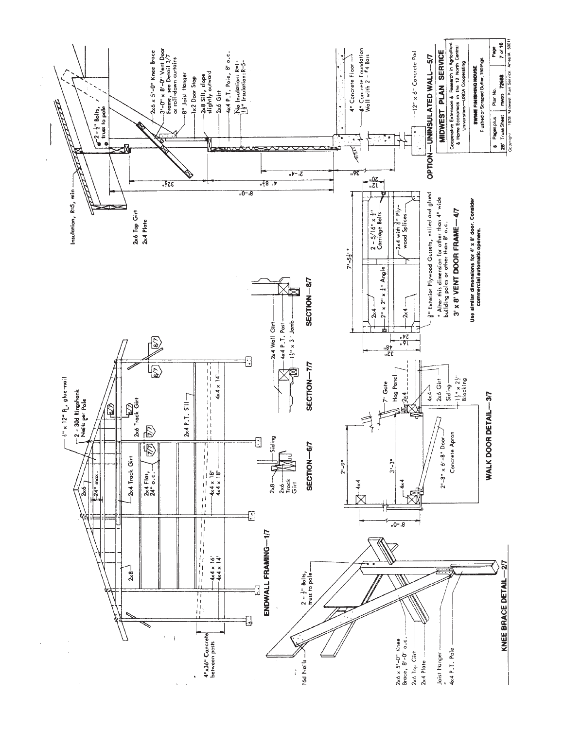